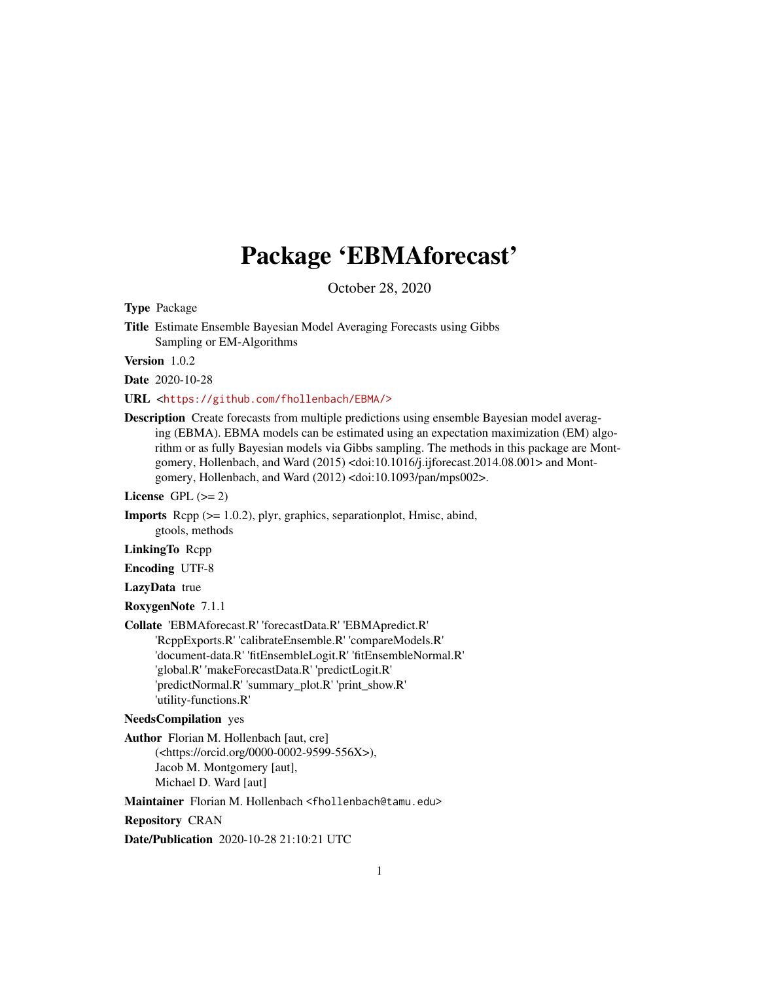# Package 'EBMAforecast'

October 28, 2020

Type Package

Title Estimate Ensemble Bayesian Model Averaging Forecasts using Gibbs Sampling or EM-Algorithms

Version 1.0.2

Date 2020-10-28

URL <<https://github.com/fhollenbach/EBMA/>>

Description Create forecasts from multiple predictions using ensemble Bayesian model averaging (EBMA). EBMA models can be estimated using an expectation maximization (EM) algorithm or as fully Bayesian models via Gibbs sampling. The methods in this package are Montgomery, Hollenbach, and Ward (2015) <doi:10.1016/j.ijforecast.2014.08.001> and Montgomery, Hollenbach, and Ward (2012) <doi:10.1093/pan/mps002>.

License GPL  $(>= 2)$ 

Imports Rcpp (>= 1.0.2), plyr, graphics, separationplot, Hmisc, abind, gtools, methods

LinkingTo Rcpp

Encoding UTF-8

LazyData true

RoxygenNote 7.1.1

Collate 'EBMAforecast.R' 'forecastData.R' 'EBMApredict.R' 'RcppExports.R' 'calibrateEnsemble.R' 'compareModels.R' 'document-data.R' 'fitEnsembleLogit.R' 'fitEnsembleNormal.R' 'global.R' 'makeForecastData.R' 'predictLogit.R' 'predictNormal.R' 'summary\_plot.R' 'print\_show.R' 'utility-functions.R'

## NeedsCompilation yes

Author Florian M. Hollenbach [aut, cre] (<https://orcid.org/0000-0002-9599-556X>), Jacob M. Montgomery [aut], Michael D. Ward [aut]

Maintainer Florian M. Hollenbach <fhollenbach@tamu.edu>

Repository CRAN

Date/Publication 2020-10-28 21:10:21 UTC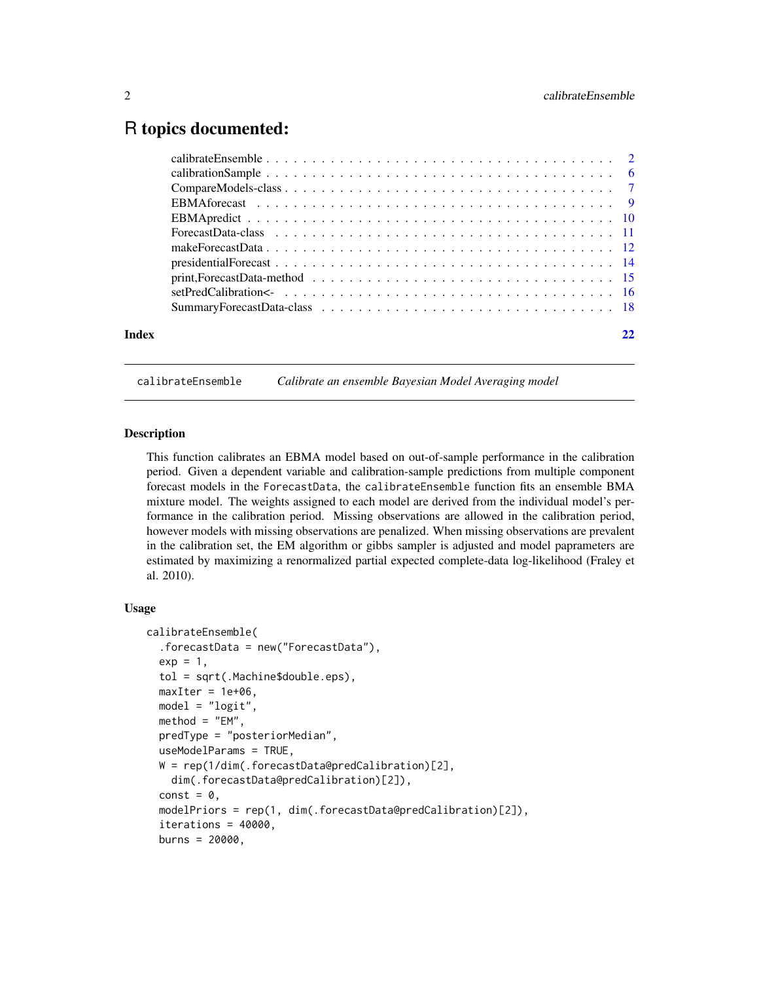## <span id="page-1-0"></span>R topics documented:

| Index |  |
|-------|--|
|       |  |

# calibrateEnsemble *Calibrate an ensemble Bayesian Model Averaging model*

#### Description

This function calibrates an EBMA model based on out-of-sample performance in the calibration period. Given a dependent variable and calibration-sample predictions from multiple component forecast models in the ForecastData, the calibrateEnsemble function fits an ensemble BMA mixture model. The weights assigned to each model are derived from the individual model's performance in the calibration period. Missing observations are allowed in the calibration period, however models with missing observations are penalized. When missing observations are prevalent in the calibration set, the EM algorithm or gibbs sampler is adjusted and model paprameters are estimated by maximizing a renormalized partial expected complete-data log-likelihood (Fraley et al. 2010).

#### Usage

```
calibrateEnsemble(
  .forecastData = new("ForecastData"),
 exp = 1,
  tol = sqrt(.Machine$double.eps),
 maxIter = 1e+06,
 model = "logit",
 method = "EM",predType = "posteriorMedian",
 useModelParams = TRUE,
 W = rep(1/dim(.forecastData@predCalibration)[2],dim(.forecastData@predCalibration)[2]),
  const = 0,
 modelPriors = rep(1, dim(.forecastData@predCalibration)[2]),
  iterations = 40000,
 burns = 20000,
```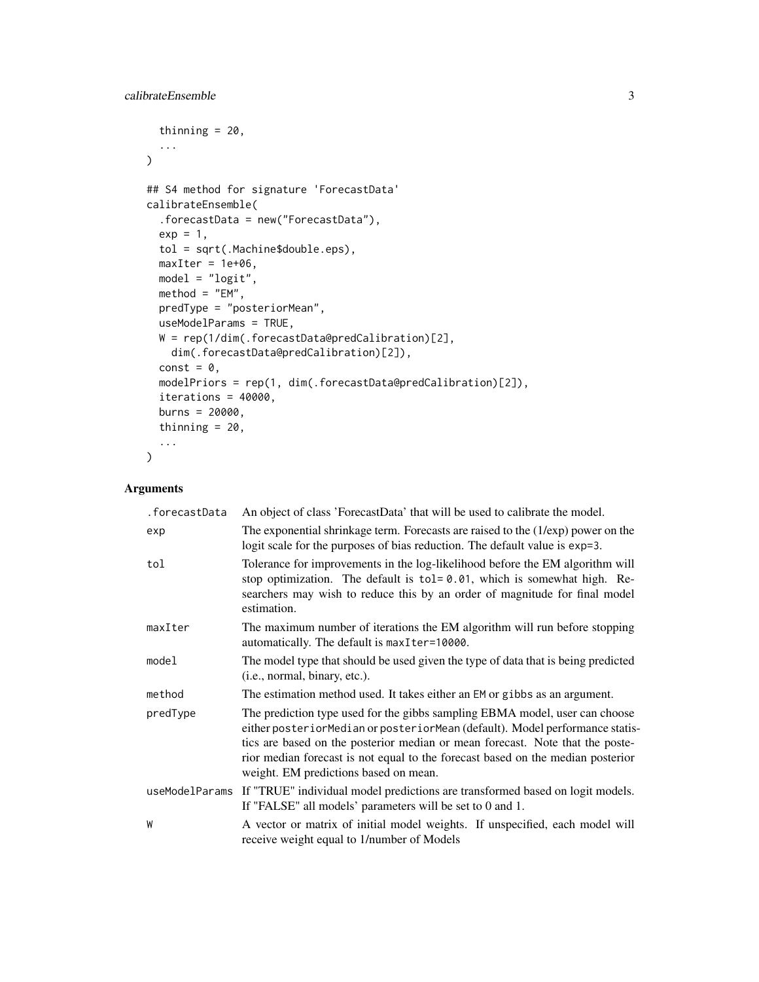```
thinning = 20,
  ...
\lambda## S4 method for signature 'ForecastData'
calibrateEnsemble(
  .forecastData = new("ForecastData"),
 exp = 1,
  tol = sqrt(.Machine$double.eps),
 maxIter = 1e+06,model = "logit",
 method = "EM",predType = "posteriorMean",
 useModelParams = TRUE,
 W = rep(1/dim(.forecastData@predCalibration)[2],
   dim(.forecastData@predCalibration)[2]),
  const = \theta,
 modelPriors = rep(1, dim(.forecastData@predCalibration)[2]),
  iterations = 40000,
 burns = 20000,
  thinning = 20,
  ...
\mathcal{L}
```
## Arguments

| An object of class 'ForecastData' that will be used to calibrate the model.                                                                                                                                                                                                                                                                                              |
|--------------------------------------------------------------------------------------------------------------------------------------------------------------------------------------------------------------------------------------------------------------------------------------------------------------------------------------------------------------------------|
| The exponential shrinkage term. Forecasts are raised to the $(1/\exp)$ power on the<br>logit scale for the purposes of bias reduction. The default value is exp=3.                                                                                                                                                                                                       |
| Tolerance for improvements in the log-likelihood before the EM algorithm will<br>stop optimization. The default is $tol = 0.01$ , which is somewhat high. Re-<br>searchers may wish to reduce this by an order of magnitude for final model<br>estimation.                                                                                                               |
| The maximum number of iterations the EM algorithm will run before stopping<br>automatically. The default is maxIter=10000.                                                                                                                                                                                                                                               |
| The model type that should be used given the type of data that is being predicted<br>(i.e., normal, binary, etc.).                                                                                                                                                                                                                                                       |
| The estimation method used. It takes either an EM or gibbs as an argument.                                                                                                                                                                                                                                                                                               |
| The prediction type used for the gibbs sampling EBMA model, user can choose<br>either posteriorMedian or posteriorMean (default). Model performance statis-<br>tics are based on the posterior median or mean forecast. Note that the poste-<br>rior median forecast is not equal to the forecast based on the median posterior<br>weight. EM predictions based on mean. |
| useModelParams If "TRUE" individual model predictions are transformed based on logit models.<br>If "FALSE" all models' parameters will be set to 0 and 1.                                                                                                                                                                                                                |
| A vector or matrix of initial model weights. If unspecified, each model will<br>receive weight equal to 1/number of Models                                                                                                                                                                                                                                               |
|                                                                                                                                                                                                                                                                                                                                                                          |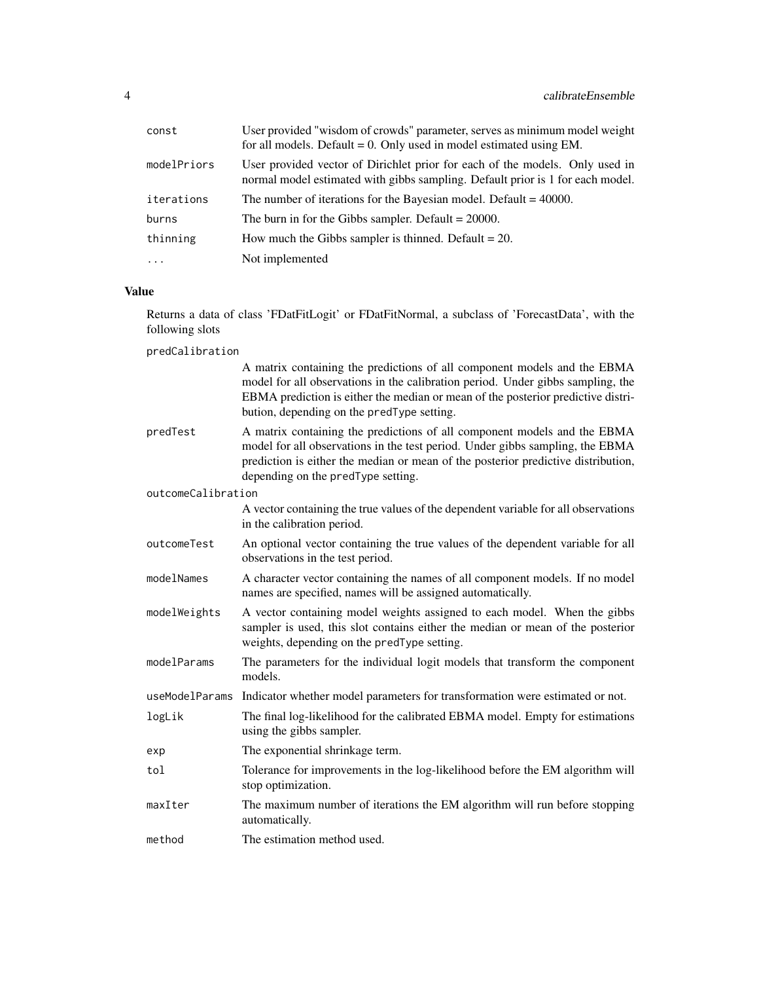| const       | User provided "wisdom of crowds" parameter, serves as minimum model weight<br>for all models. Default = $0$ . Only used in model estimated using EM.           |
|-------------|----------------------------------------------------------------------------------------------------------------------------------------------------------------|
| modelPriors | User provided vector of Dirichlet prior for each of the models. Only used in<br>normal model estimated with gibbs sampling. Default prior is 1 for each model. |
| iterations  | The number of iterations for the Bayesian model. Default = $40000$ .                                                                                           |
| burns       | The burn in for the Gibbs sampler. Default $= 20000$ .                                                                                                         |
| thinning    | How much the Gibbs sampler is thinned. Default $= 20$ .                                                                                                        |
| $\cdots$    | Not implemented                                                                                                                                                |

## Value

Returns a data of class 'FDatFitLogit' or FDatFitNormal, a subclass of 'ForecastData', with the following slots

predCalibration

|                    | A matrix containing the predictions of all component models and the EBMA<br>model for all observations in the calibration period. Under gibbs sampling, the<br>EBMA prediction is either the median or mean of the posterior predictive distri-<br>bution, depending on the predType setting. |
|--------------------|-----------------------------------------------------------------------------------------------------------------------------------------------------------------------------------------------------------------------------------------------------------------------------------------------|
| predTest           | A matrix containing the predictions of all component models and the EBMA<br>model for all observations in the test period. Under gibbs sampling, the EBMA<br>prediction is either the median or mean of the posterior predictive distribution,<br>depending on the predType setting.          |
| outcomeCalibration |                                                                                                                                                                                                                                                                                               |
|                    | A vector containing the true values of the dependent variable for all observations<br>in the calibration period.                                                                                                                                                                              |
| outcomeTest        | An optional vector containing the true values of the dependent variable for all<br>observations in the test period.                                                                                                                                                                           |
| modelNames         | A character vector containing the names of all component models. If no model<br>names are specified, names will be assigned automatically.                                                                                                                                                    |
| modelWeights       | A vector containing model weights assigned to each model. When the gibbs<br>sampler is used, this slot contains either the median or mean of the posterior<br>weights, depending on the predType setting.                                                                                     |
| modelParams        | The parameters for the individual logit models that transform the component<br>models.                                                                                                                                                                                                        |
| useModelParams     | Indicator whether model parameters for transformation were estimated or not.                                                                                                                                                                                                                  |
| logLik             | The final log-likelihood for the calibrated EBMA model. Empty for estimations<br>using the gibbs sampler.                                                                                                                                                                                     |
| exp                | The exponential shrinkage term.                                                                                                                                                                                                                                                               |
| tol                | Tolerance for improvements in the log-likelihood before the EM algorithm will<br>stop optimization.                                                                                                                                                                                           |
| maxIter            | The maximum number of iterations the EM algorithm will run before stopping<br>automatically.                                                                                                                                                                                                  |
| method             | The estimation method used.                                                                                                                                                                                                                                                                   |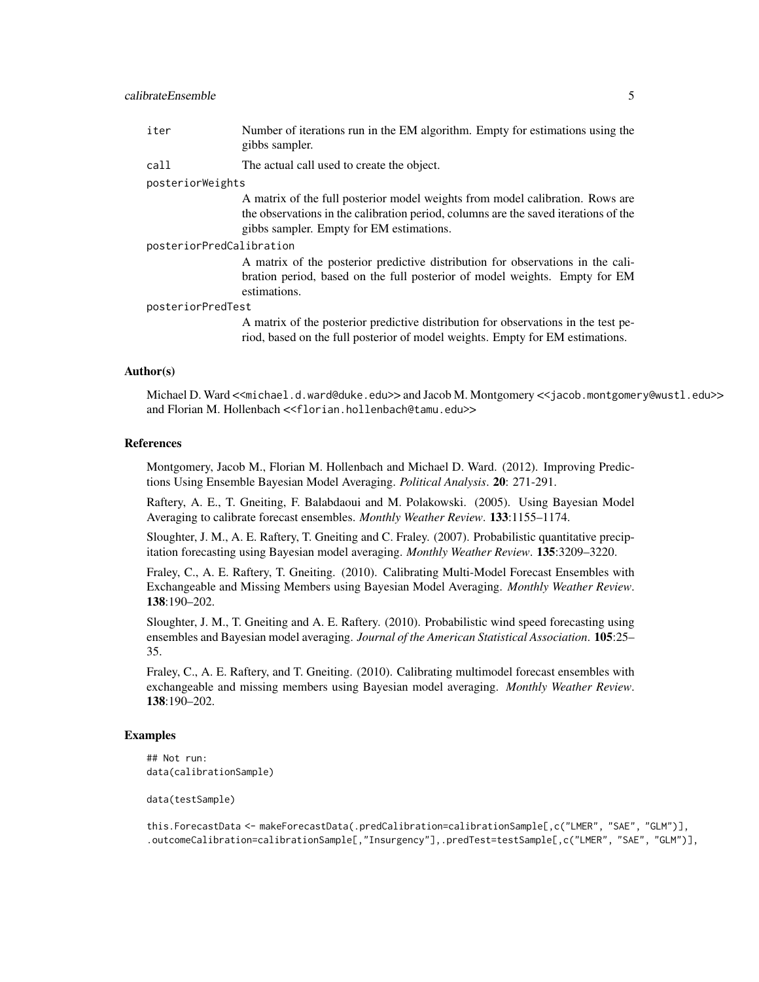## calibrateEnsemble 5

| iter                     | Number of iterations run in the EM algorithm. Empty for estimations using the<br>gibbs sampler.                                                                                                                  |  |
|--------------------------|------------------------------------------------------------------------------------------------------------------------------------------------------------------------------------------------------------------|--|
| call                     | The actual call used to create the object.                                                                                                                                                                       |  |
| posteriorWeights         |                                                                                                                                                                                                                  |  |
|                          | A matrix of the full posterior model weights from model calibration. Rows are<br>the observations in the calibration period, columns are the saved iterations of the<br>gibbs sampler. Empty for EM estimations. |  |
| posteriorPredCalibration |                                                                                                                                                                                                                  |  |
|                          | A matrix of the posterior predictive distribution for observations in the cali-<br>bration period, based on the full posterior of model weights. Empty for EM<br>estimations.                                    |  |
| posteriorPredTest        |                                                                                                                                                                                                                  |  |

A matrix of the posterior predictive distribution for observations in the test period, based on the full posterior of model weights. Empty for EM estimations.

#### Author(s)

Michael D. Ward <<michael.d.ward@duke.edu>> and Jacob M. Montgomery <<jacob.montgomery@wustl.edu>> and Florian M. Hollenbach <<florian.hollenbach@tamu.edu>>

## References

Montgomery, Jacob M., Florian M. Hollenbach and Michael D. Ward. (2012). Improving Predictions Using Ensemble Bayesian Model Averaging. *Political Analysis*. 20: 271-291.

Raftery, A. E., T. Gneiting, F. Balabdaoui and M. Polakowski. (2005). Using Bayesian Model Averaging to calibrate forecast ensembles. *Monthly Weather Review*. 133:1155–1174.

Sloughter, J. M., A. E. Raftery, T. Gneiting and C. Fraley. (2007). Probabilistic quantitative precipitation forecasting using Bayesian model averaging. *Monthly Weather Review*. 135:3209–3220.

Fraley, C., A. E. Raftery, T. Gneiting. (2010). Calibrating Multi-Model Forecast Ensembles with Exchangeable and Missing Members using Bayesian Model Averaging. *Monthly Weather Review*. 138:190–202.

Sloughter, J. M., T. Gneiting and A. E. Raftery. (2010). Probabilistic wind speed forecasting using ensembles and Bayesian model averaging. *Journal of the American Statistical Association*. 105:25– 35.

Fraley, C., A. E. Raftery, and T. Gneiting. (2010). Calibrating multimodel forecast ensembles with exchangeable and missing members using Bayesian model averaging. *Monthly Weather Review*. 138:190–202.

## Examples

## Not run: data(calibrationSample)

data(testSample)

this.ForecastData <- makeForecastData(.predCalibration=calibrationSample[,c("LMER", "SAE", "GLM")], .outcomeCalibration=calibrationSample[,"Insurgency"],.predTest=testSample[,c("LMER", "SAE", "GLM")],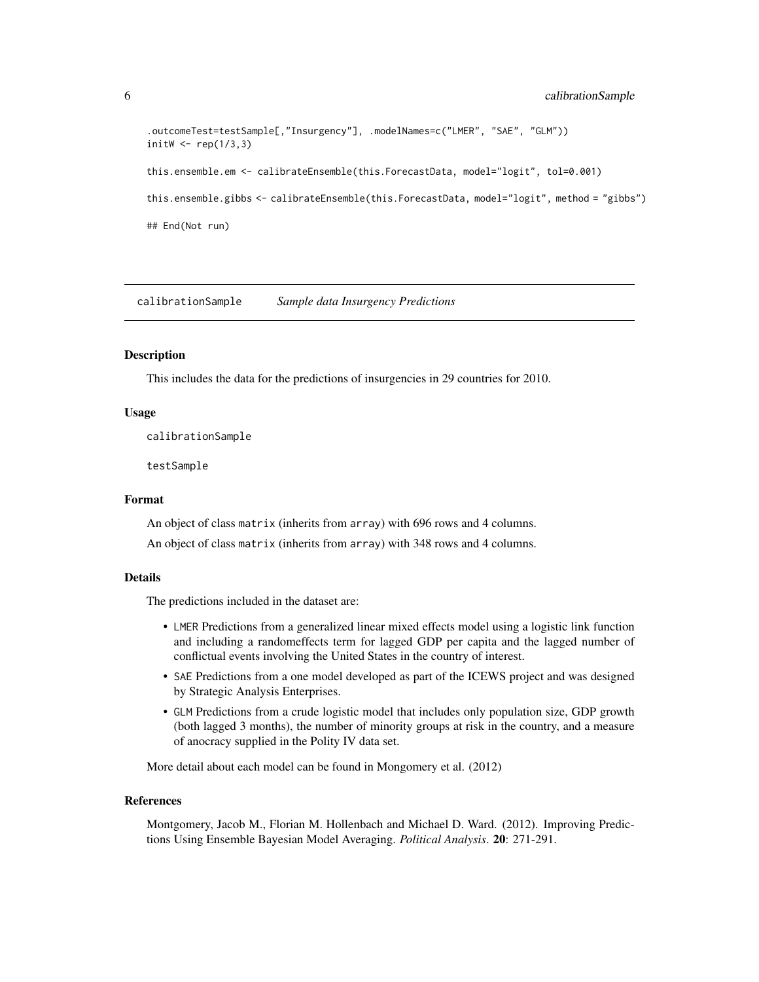```
.outcomeTest=testSample[,"Insurgency"], .modelNames=c("LMER", "SAE", "GLM"))
initW \leq rep(1/3,3)
this.ensemble.em <- calibrateEnsemble(this.ForecastData, model="logit", tol=0.001)
this.ensemble.gibbs <- calibrateEnsemble(this.ForecastData, model="logit", method = "gibbs")
## End(Not run)
```
calibrationSample *Sample data Insurgency Predictions*

## Description

This includes the data for the predictions of insurgencies in 29 countries for 2010.

#### Usage

calibrationSample

testSample

#### Format

An object of class matrix (inherits from array) with 696 rows and 4 columns.

An object of class matrix (inherits from array) with 348 rows and 4 columns.

#### Details

The predictions included in the dataset are:

- LMER Predictions from a generalized linear mixed effects model using a logistic link function and including a randomeffects term for lagged GDP per capita and the lagged number of conflictual events involving the United States in the country of interest.
- SAE Predictions from a one model developed as part of the ICEWS project and was designed by Strategic Analysis Enterprises.
- GLM Predictions from a crude logistic model that includes only population size, GDP growth (both lagged 3 months), the number of minority groups at risk in the country, and a measure of anocracy supplied in the Polity IV data set.

More detail about each model can be found in Mongomery et al. (2012)

#### References

Montgomery, Jacob M., Florian M. Hollenbach and Michael D. Ward. (2012). Improving Predictions Using Ensemble Bayesian Model Averaging. *Political Analysis*. 20: 271-291.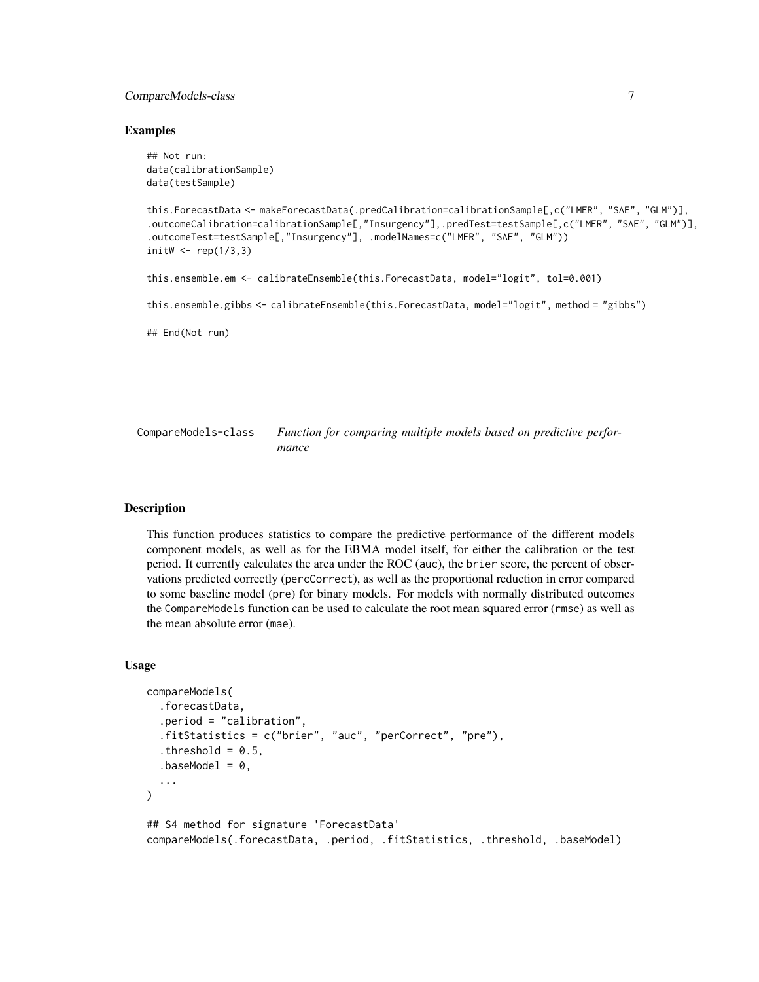## <span id="page-6-0"></span>CompareModels-class 7

#### Examples

```
## Not run:
data(calibrationSample)
data(testSample)
this.ForecastData <- makeForecastData(.predCalibration=calibrationSample[,c("LMER", "SAE", "GLM")],
.outcomeCalibration=calibrationSample[,"Insurgency"],.predTest=testSample[,c("LMER", "SAE", "GLM")],
.outcomeTest=testSample[,"Insurgency"], .modelNames=c("LMER", "SAE", "GLM"))
initW \leq rep(1/3,3)
this.ensemble.em <- calibrateEnsemble(this.ForecastData, model="logit", tol=0.001)
this.ensemble.gibbs <- calibrateEnsemble(this.ForecastData, model="logit", method = "gibbs")
## End(Not run)
```
CompareModels-class *Function for comparing multiple models based on predictive performance*

#### Description

This function produces statistics to compare the predictive performance of the different models component models, as well as for the EBMA model itself, for either the calibration or the test period. It currently calculates the area under the ROC (auc), the brier score, the percent of observations predicted correctly (percCorrect), as well as the proportional reduction in error compared to some baseline model (pre) for binary models. For models with normally distributed outcomes the CompareModels function can be used to calculate the root mean squared error (rmse) as well as the mean absolute error (mae).

#### Usage

```
compareModels(
  .forecastData,
  .period = "calibration",
  .fitStatistics = c("brier", "auc", "perCorrect", "pre"),
  .threshold = 0.5,
  .baseModel = 0,
  ...
)
## S4 method for signature 'ForecastData'
compareModels(.forecastData, .period, .fitStatistics, .threshold, .baseModel)
```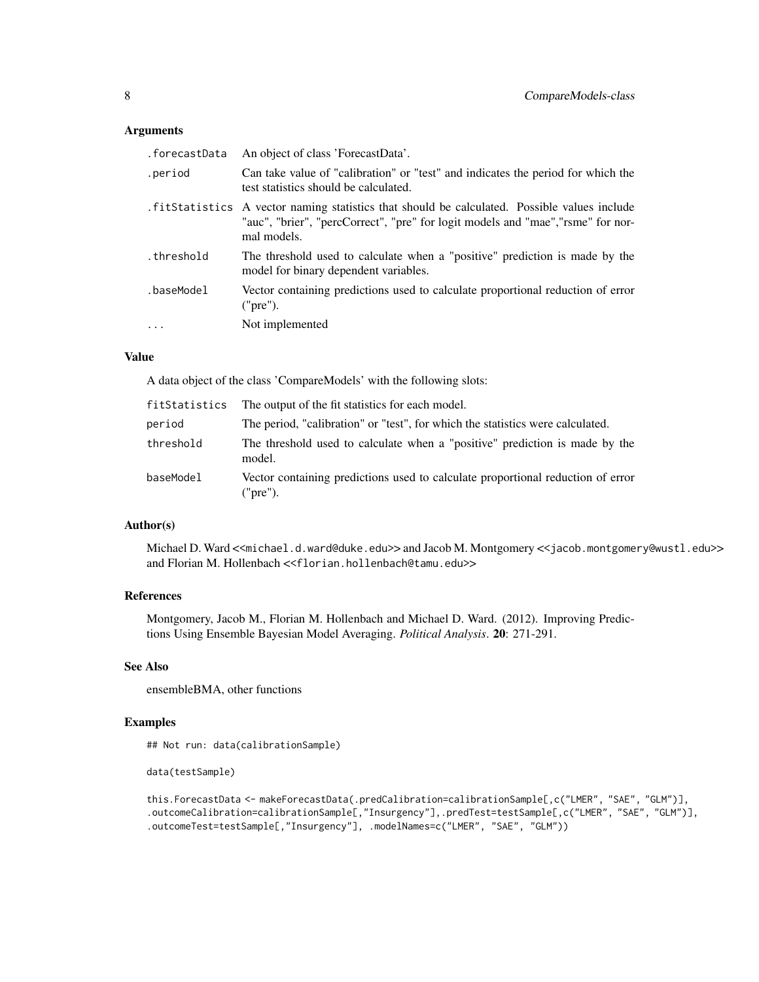## Arguments

| .forecastData | An object of class 'ForecastData'.                                                                                                                                                               |
|---------------|--------------------------------------------------------------------------------------------------------------------------------------------------------------------------------------------------|
| .period       | Can take value of "calibration" or "test" and indicates the period for which the<br>test statistics should be calculated.                                                                        |
|               | . fitStatistics A vector naming statistics that should be calculated. Possible values include<br>"auc", "brier", "percCorrect", "pre" for logit models and "mae", "rsme" for nor-<br>mal models. |
| .threshold    | The threshold used to calculate when a "positive" prediction is made by the<br>model for binary dependent variables.                                                                             |
| .baseModel    | Vector containing predictions used to calculate proportional reduction of error<br>("pre").                                                                                                      |
| $\ddots$      | Not implemented                                                                                                                                                                                  |

## Value

A data object of the class 'CompareModels' with the following slots:

| fitStatistics | The output of the fit statistics for each model.                                            |
|---------------|---------------------------------------------------------------------------------------------|
| period        | The period, "calibration" or "test", for which the statistics were calculated.              |
| threshold     | The threshold used to calculate when a "positive" prediction is made by the<br>model.       |
| baseModel     | Vector containing predictions used to calculate proportional reduction of error<br>("pre"). |

## Author(s)

Michael D. Ward <<michael.d.ward@duke.edu>> and Jacob M. Montgomery <<jacob.montgomery@wustl.edu>> and Florian M. Hollenbach <<florian.hollenbach@tamu.edu>>

## References

Montgomery, Jacob M., Florian M. Hollenbach and Michael D. Ward. (2012). Improving Predictions Using Ensemble Bayesian Model Averaging. *Political Analysis*. 20: 271-291.

## See Also

ensembleBMA, other functions

## Examples

## Not run: data(calibrationSample)

```
data(testSample)
```

```
this.ForecastData <- makeForecastData(.predCalibration=calibrationSample[,c("LMER", "SAE", "GLM")],
.outcomeCalibration=calibrationSample[,"Insurgency"],.predTest=testSample[,c("LMER", "SAE", "GLM")],
.outcomeTest=testSample[,"Insurgency"], .modelNames=c("LMER", "SAE", "GLM"))
```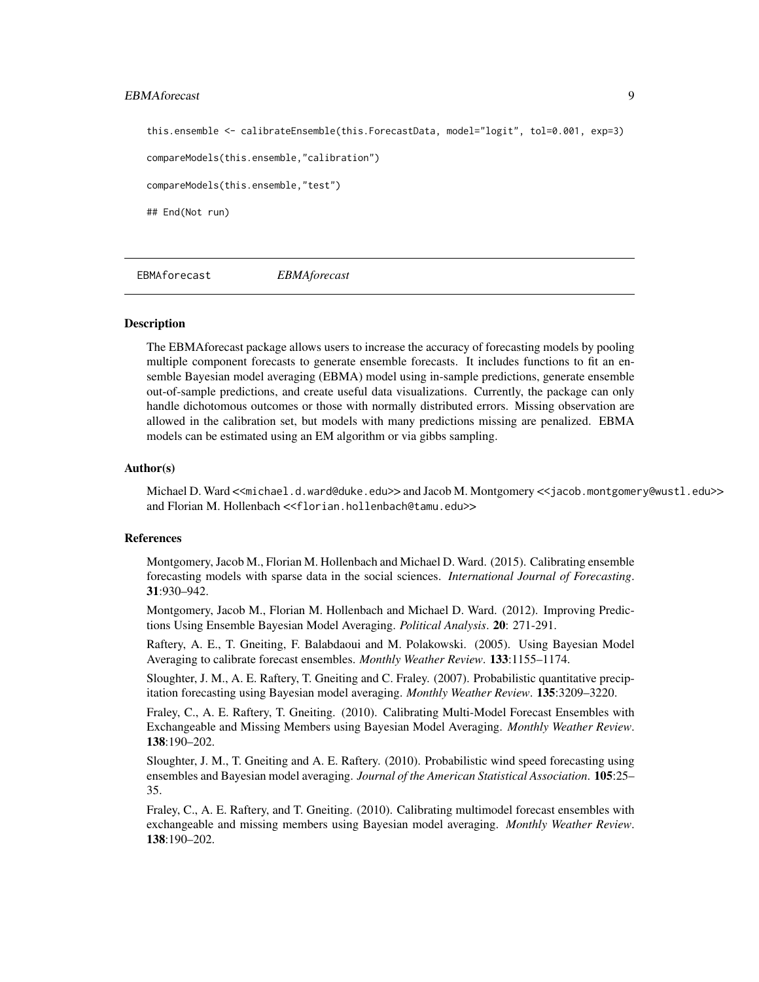## <span id="page-8-0"></span>EBMAforecast 9

```
this.ensemble <- calibrateEnsemble(this.ForecastData, model="logit", tol=0.001, exp=3)
compareModels(this.ensemble,"calibration")
compareModels(this.ensemble,"test")
## End(Not run)
```
EBMAforecast *EBMAforecast*

#### Description

The EBMAforecast package allows users to increase the accuracy of forecasting models by pooling multiple component forecasts to generate ensemble forecasts. It includes functions to fit an ensemble Bayesian model averaging (EBMA) model using in-sample predictions, generate ensemble out-of-sample predictions, and create useful data visualizations. Currently, the package can only handle dichotomous outcomes or those with normally distributed errors. Missing observation are allowed in the calibration set, but models with many predictions missing are penalized. EBMA models can be estimated using an EM algorithm or via gibbs sampling.

#### Author(s)

Michael D. Ward <<michael.d.ward@duke.edu>> and Jacob M. Montgomery <<jacob.montgomery@wustl.edu>> and Florian M. Hollenbach <<florian.hollenbach@tamu.edu>>

## References

Montgomery, Jacob M., Florian M. Hollenbach and Michael D. Ward. (2015). Calibrating ensemble forecasting models with sparse data in the social sciences. *International Journal of Forecasting*. 31:930–942.

Montgomery, Jacob M., Florian M. Hollenbach and Michael D. Ward. (2012). Improving Predictions Using Ensemble Bayesian Model Averaging. *Political Analysis*. 20: 271-291.

Raftery, A. E., T. Gneiting, F. Balabdaoui and M. Polakowski. (2005). Using Bayesian Model Averaging to calibrate forecast ensembles. *Monthly Weather Review*. 133:1155–1174.

Sloughter, J. M., A. E. Raftery, T. Gneiting and C. Fraley. (2007). Probabilistic quantitative precipitation forecasting using Bayesian model averaging. *Monthly Weather Review*. 135:3209–3220.

Fraley, C., A. E. Raftery, T. Gneiting. (2010). Calibrating Multi-Model Forecast Ensembles with Exchangeable and Missing Members using Bayesian Model Averaging. *Monthly Weather Review*. 138:190–202.

Sloughter, J. M., T. Gneiting and A. E. Raftery. (2010). Probabilistic wind speed forecasting using ensembles and Bayesian model averaging. *Journal of the American Statistical Association*. 105:25– 35.

Fraley, C., A. E. Raftery, and T. Gneiting. (2010). Calibrating multimodel forecast ensembles with exchangeable and missing members using Bayesian model averaging. *Monthly Weather Review*. 138:190–202.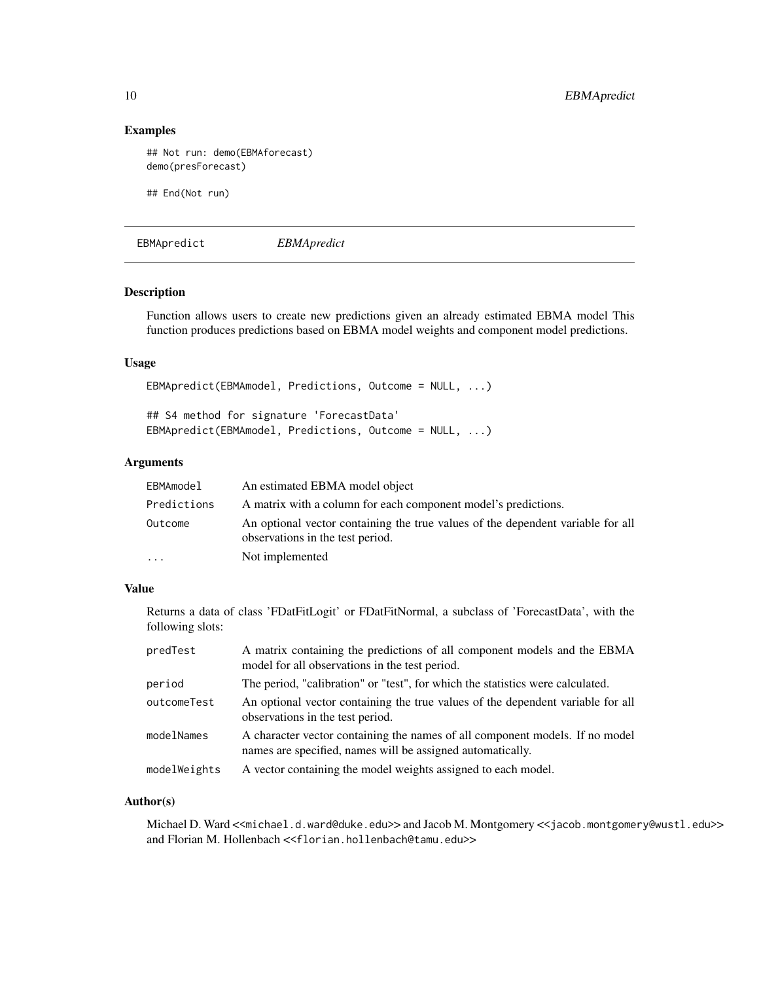## Examples

```
## Not run: demo(EBMAforecast)
demo(presForecast)
## End(Not run)
```
EBMApredict *EBMApredict*

## Description

Function allows users to create new predictions given an already estimated EBMA model This function produces predictions based on EBMA model weights and component model predictions.

## Usage

```
EBMApredict(EBMAmodel, Predictions, Outcome = NULL, ...)
```
## S4 method for signature 'ForecastData' EBMApredict(EBMAmodel, Predictions, Outcome = NULL, ...)

## Arguments

| EBMAmodel   | An estimated EBMA model object                                                                                      |
|-------------|---------------------------------------------------------------------------------------------------------------------|
| Predictions | A matrix with a column for each component model's predictions.                                                      |
| Outcome     | An optional vector containing the true values of the dependent variable for all<br>observations in the test period. |
| $\ddotsc$   | Not implemented                                                                                                     |

## Value

Returns a data of class 'FDatFitLogit' or FDatFitNormal, a subclass of 'ForecastData', with the following slots:

| predTest     | A matrix containing the predictions of all component models and the EBMA<br>model for all observations in the test period.                 |
|--------------|--------------------------------------------------------------------------------------------------------------------------------------------|
| period       | The period, "calibration" or "test", for which the statistics were calculated.                                                             |
| outcomeTest  | An optional vector containing the true values of the dependent variable for all<br>observations in the test period.                        |
| modelNames   | A character vector containing the names of all component models. If no model<br>names are specified, names will be assigned automatically. |
| modelWeights | A vector containing the model weights assigned to each model.                                                                              |

#### Author(s)

Michael D. Ward <<michael.d.ward@duke.edu>> and Jacob M. Montgomery <<jacob.montgomery@wustl.edu>> and Florian M. Hollenbach <<florian.hollenbach@tamu.edu>>

<span id="page-9-0"></span>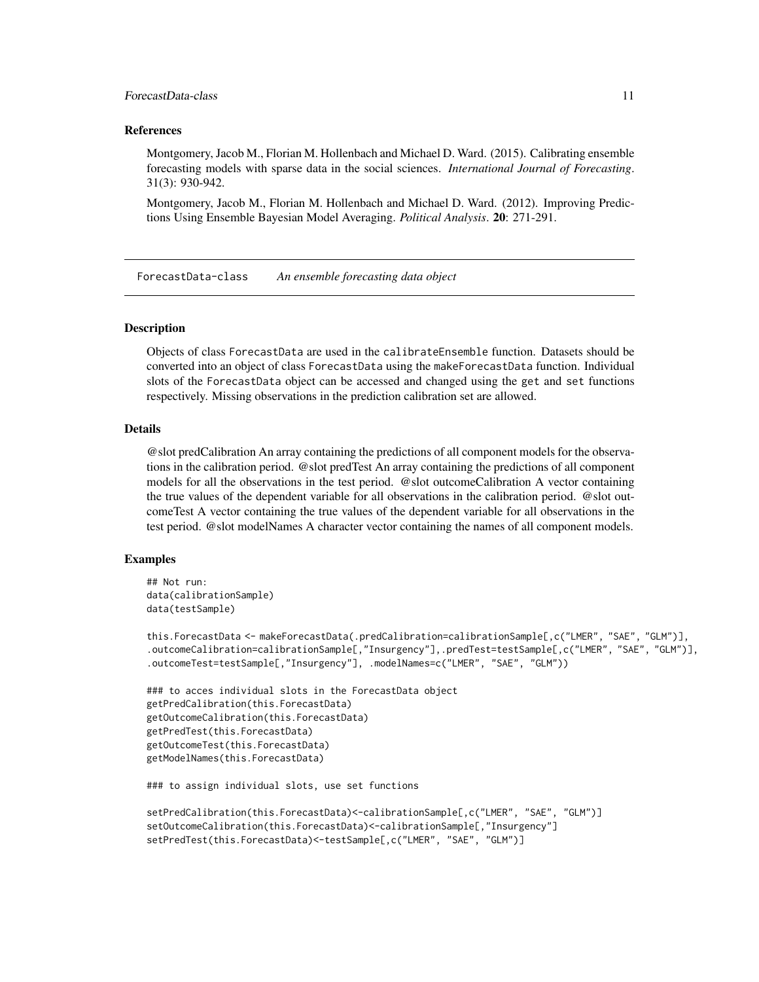## <span id="page-10-0"></span>ForecastData-class 11

#### References

Montgomery, Jacob M., Florian M. Hollenbach and Michael D. Ward. (2015). Calibrating ensemble forecasting models with sparse data in the social sciences. *International Journal of Forecasting*. 31(3): 930-942.

Montgomery, Jacob M., Florian M. Hollenbach and Michael D. Ward. (2012). Improving Predictions Using Ensemble Bayesian Model Averaging. *Political Analysis*. 20: 271-291.

ForecastData-class *An ensemble forecasting data object*

#### Description

Objects of class ForecastData are used in the calibrateEnsemble function. Datasets should be converted into an object of class ForecastData using the makeForecastData function. Individual slots of the ForecastData object can be accessed and changed using the get and set functions respectively. Missing observations in the prediction calibration set are allowed.

## Details

@slot predCalibration An array containing the predictions of all component models for the observations in the calibration period. @slot predTest An array containing the predictions of all component models for all the observations in the test period. @slot outcomeCalibration A vector containing the true values of the dependent variable for all observations in the calibration period. @slot outcomeTest A vector containing the true values of the dependent variable for all observations in the test period. @slot modelNames A character vector containing the names of all component models.

### Examples

```
## Not run:
data(calibrationSample)
data(testSample)
```

```
this.ForecastData <- makeForecastData(.predCalibration=calibrationSample[,c("LMER", "SAE", "GLM")],
.outcomeCalibration=calibrationSample[,"Insurgency"],.predTest=testSample[,c("LMER", "SAE", "GLM")],
.outcomeTest=testSample[,"Insurgency"], .modelNames=c("LMER", "SAE", "GLM"))
```

```
### to acces individual slots in the ForecastData object
getPredCalibration(this.ForecastData)
getOutcomeCalibration(this.ForecastData)
getPredTest(this.ForecastData)
getOutcomeTest(this.ForecastData)
getModelNames(this.ForecastData)
```
### to assign individual slots, use set functions

```
setPredCalibration(this.ForecastData)<-calibrationSample[,c("LMER", "SAE", "GLM")]
setOutcomeCalibration(this.ForecastData)<-calibrationSample[,"Insurgency"]
setPredTest(this.ForecastData)<-testSample[,c("LMER", "SAE", "GLM")]
```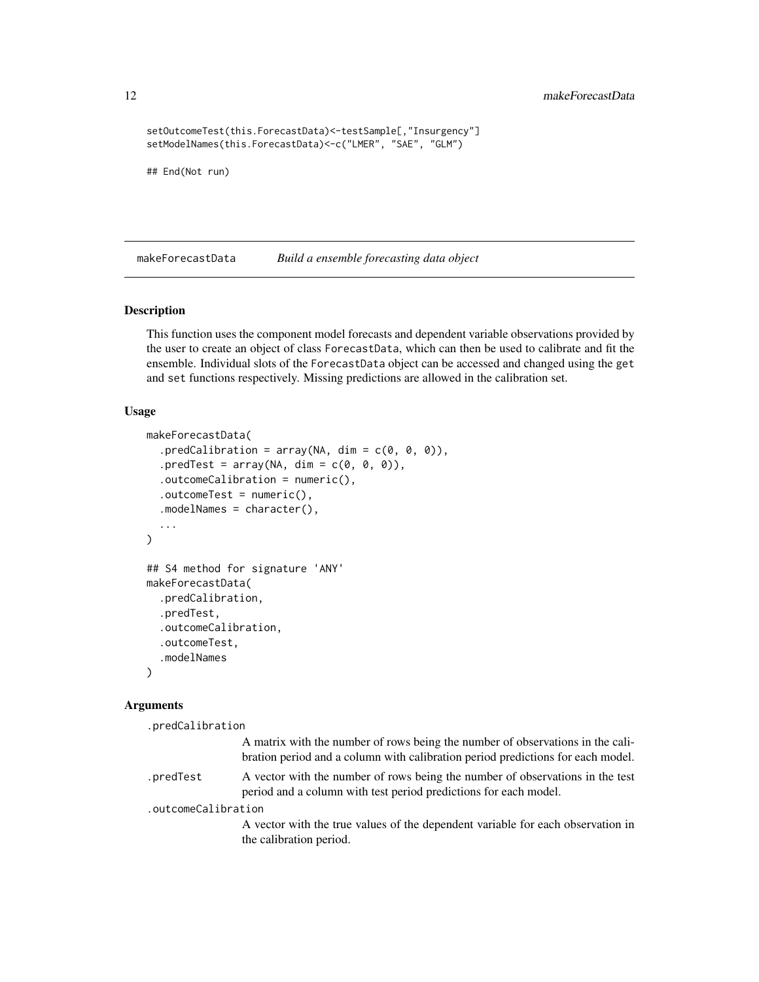```
setOutcomeTest(this.ForecastData)<-testSample[,"Insurgency"]
setModelNames(this.ForecastData)<-c("LMER", "SAE", "GLM")
```
## End(Not run)

makeForecastData *Build a ensemble forecasting data object*

## Description

This function uses the component model forecasts and dependent variable observations provided by the user to create an object of class ForecastData, which can then be used to calibrate and fit the ensemble. Individual slots of the ForecastData object can be accessed and changed using the get and set functions respectively. Missing predictions are allowed in the calibration set.

#### Usage

```
makeForecastData(
  .predCalibration = array(NA, dim = c(0, 0, 0)),.predTest = array(NA, dim = c(0, 0, 0)),.outcomeCalibration = numeric(),.outcomeTest = numeric(),
  .modelNames = character(),
  ...
)
## S4 method for signature 'ANY'
makeForecastData(
  .predCalibration,
  .predTest,
  .outcomeCalibration,
  .outcomeTest,
  .modelNames
\lambda
```
#### Arguments

.predCalibration

A matrix with the number of rows being the number of observations in the calibration period and a column with calibration period predictions for each model.

.predTest A vector with the number of rows being the number of observations in the test period and a column with test period predictions for each model.

.outcomeCalibration

A vector with the true values of the dependent variable for each observation in the calibration period.

<span id="page-11-0"></span>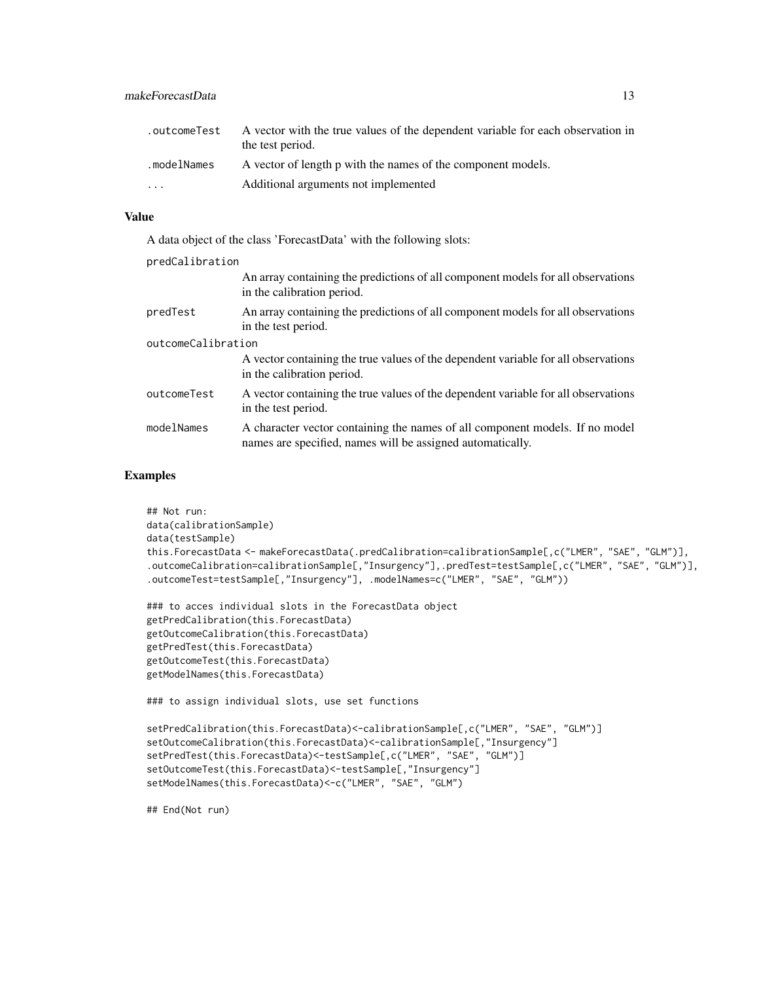| .outcomeTest | A vector with the true values of the dependent variable for each observation in<br>the test period. |
|--------------|-----------------------------------------------------------------------------------------------------|
| .modelNames  | A vector of length p with the names of the component models.                                        |
| $\ddotsc$    | Additional arguments not implemented                                                                |

#### Value

A data object of the class 'ForecastData' with the following slots:

| predCalibration    |                                                                                                                                            |  |
|--------------------|--------------------------------------------------------------------------------------------------------------------------------------------|--|
|                    | An array containing the predictions of all component models for all observations<br>in the calibration period.                             |  |
| predTest           | An array containing the predictions of all component models for all observations<br>in the test period.                                    |  |
| outcomeCalibration |                                                                                                                                            |  |
|                    | A vector containing the true values of the dependent variable for all observations<br>in the calibration period.                           |  |
| outcomeTest        | A vector containing the true values of the dependent variable for all observations<br>in the test period.                                  |  |
| modelNames         | A character vector containing the names of all component models. If no model<br>names are specified, names will be assigned automatically. |  |

## Examples

```
## Not run:
data(calibrationSample)
data(testSample)
this.ForecastData <- makeForecastData(.predCalibration=calibrationSample[,c("LMER", "SAE", "GLM")],
.outcomeCalibration=calibrationSample[,"Insurgency"],.predTest=testSample[,c("LMER", "SAE", "GLM")],
.outcomeTest=testSample[,"Insurgency"], .modelNames=c("LMER", "SAE", "GLM"))
```

```
### to acces individual slots in the ForecastData object
getPredCalibration(this.ForecastData)
getOutcomeCalibration(this.ForecastData)
getPredTest(this.ForecastData)
getOutcomeTest(this.ForecastData)
getModelNames(this.ForecastData)
```
### to assign individual slots, use set functions

```
setPredCalibration(this.ForecastData)<-calibrationSample[,c("LMER", "SAE", "GLM")]
setOutcomeCalibration(this.ForecastData)<-calibrationSample[,"Insurgency"]
setPredTest(this.ForecastData)<-testSample[,c("LMER", "SAE", "GLM")]
setOutcomeTest(this.ForecastData)<-testSample[,"Insurgency"]
setModelNames(this.ForecastData)<-c("LMER", "SAE", "GLM")
```
## End(Not run)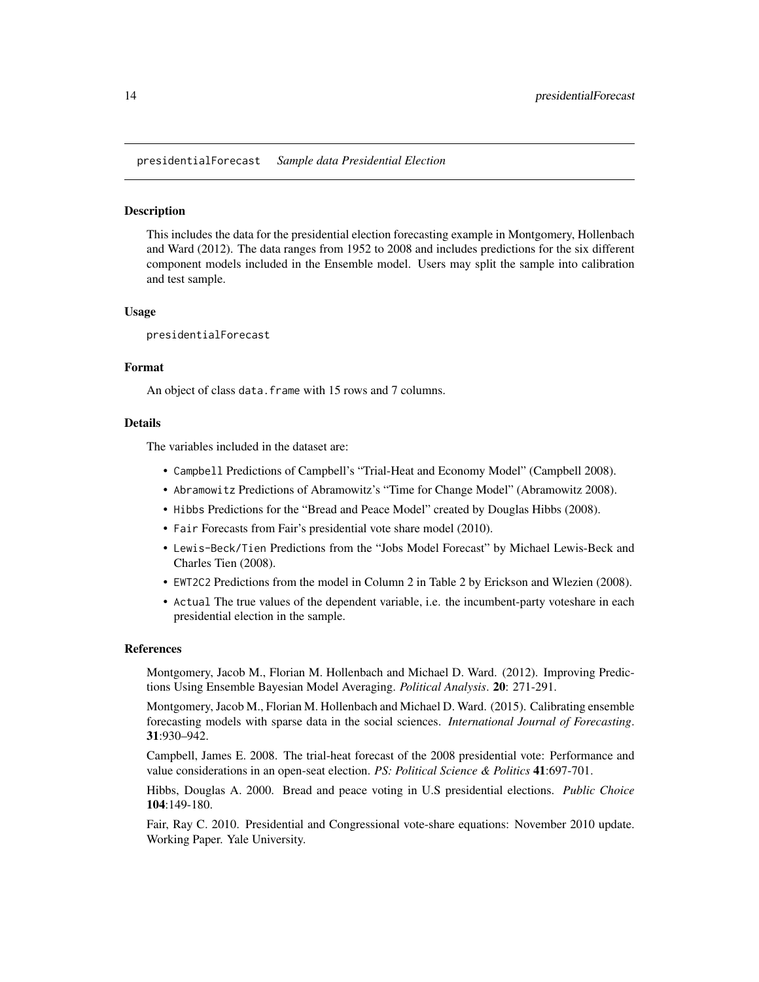<span id="page-13-0"></span>presidentialForecast *Sample data Presidential Election*

#### Description

This includes the data for the presidential election forecasting example in Montgomery, Hollenbach and Ward (2012). The data ranges from 1952 to 2008 and includes predictions for the six different component models included in the Ensemble model. Users may split the sample into calibration and test sample.

#### Usage

presidentialForecast

#### Format

An object of class data. frame with 15 rows and 7 columns.

## Details

The variables included in the dataset are:

- Campbell Predictions of Campbell's "Trial-Heat and Economy Model" (Campbell 2008).
- Abramowitz Predictions of Abramowitz's "Time for Change Model" (Abramowitz 2008).
- Hibbs Predictions for the "Bread and Peace Model" created by Douglas Hibbs (2008).
- Fair Forecasts from Fair's presidential vote share model (2010).
- Lewis-Beck/Tien Predictions from the "Jobs Model Forecast" by Michael Lewis-Beck and Charles Tien (2008).
- EWT2C2 Predictions from the model in Column 2 in Table 2 by Erickson and Wlezien (2008).
- Actual The true values of the dependent variable, i.e. the incumbent-party voteshare in each presidential election in the sample.

#### References

Montgomery, Jacob M., Florian M. Hollenbach and Michael D. Ward. (2012). Improving Predictions Using Ensemble Bayesian Model Averaging. *Political Analysis*. 20: 271-291.

Montgomery, Jacob M., Florian M. Hollenbach and Michael D. Ward. (2015). Calibrating ensemble forecasting models with sparse data in the social sciences. *International Journal of Forecasting*. 31:930–942.

Campbell, James E. 2008. The trial-heat forecast of the 2008 presidential vote: Performance and value considerations in an open-seat election. *PS: Political Science & Politics* 41:697-701.

Hibbs, Douglas A. 2000. Bread and peace voting in U.S presidential elections. *Public Choice* 104:149-180.

Fair, Ray C. 2010. Presidential and Congressional vote-share equations: November 2010 update. Working Paper. Yale University.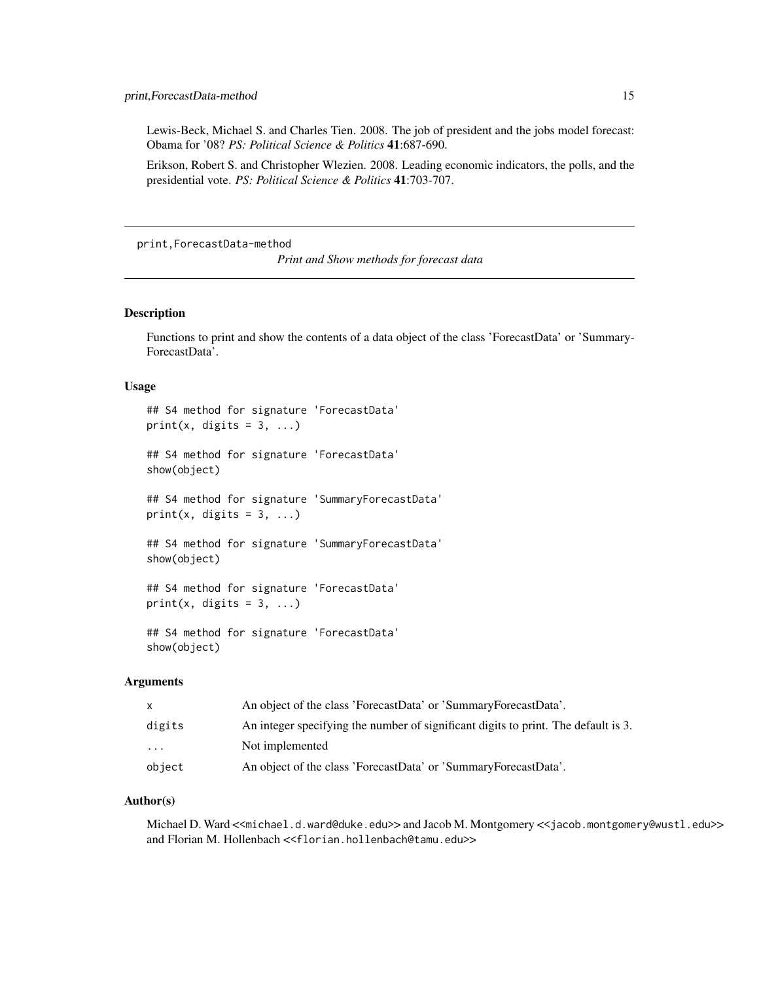<span id="page-14-0"></span>Lewis-Beck, Michael S. and Charles Tien. 2008. The job of president and the jobs model forecast: Obama for '08? *PS: Political Science & Politics* 41:687-690.

Erikson, Robert S. and Christopher Wlezien. 2008. Leading economic indicators, the polls, and the presidential vote. *PS: Political Science & Politics* 41:703-707.

print,ForecastData-method

*Print and Show methods for forecast data*

#### Description

Functions to print and show the contents of a data object of the class 'ForecastData' or 'Summary-ForecastData'.

#### Usage

## S4 method for signature 'ForecastData' print(x, digits =  $3, ...$ ) ## S4 method for signature 'ForecastData' show(object)

## S4 method for signature 'SummaryForecastData' print(x, digits =  $3, ...$ )

## S4 method for signature 'SummaryForecastData' show(object)

```
## S4 method for signature 'ForecastData'
print(x, \text{ digits} = 3, \ldots)
```
## S4 method for signature 'ForecastData' show(object)

### Arguments

| $\mathsf{x}$ | An object of the class 'ForecastData' or 'SummaryForecastData'.                    |
|--------------|------------------------------------------------------------------------------------|
| digits       | An integer specifying the number of significant digits to print. The default is 3. |
| $\cdots$     | Not implemented                                                                    |
| object       | An object of the class 'ForecastData' or 'SummaryForecastData'.                    |

#### Author(s)

Michael D. Ward <<michael.d.ward@duke.edu>> and Jacob M. Montgomery <<jacob.montgomery@wustl.edu>> and Florian M. Hollenbach <<florian.hollenbach@tamu.edu>>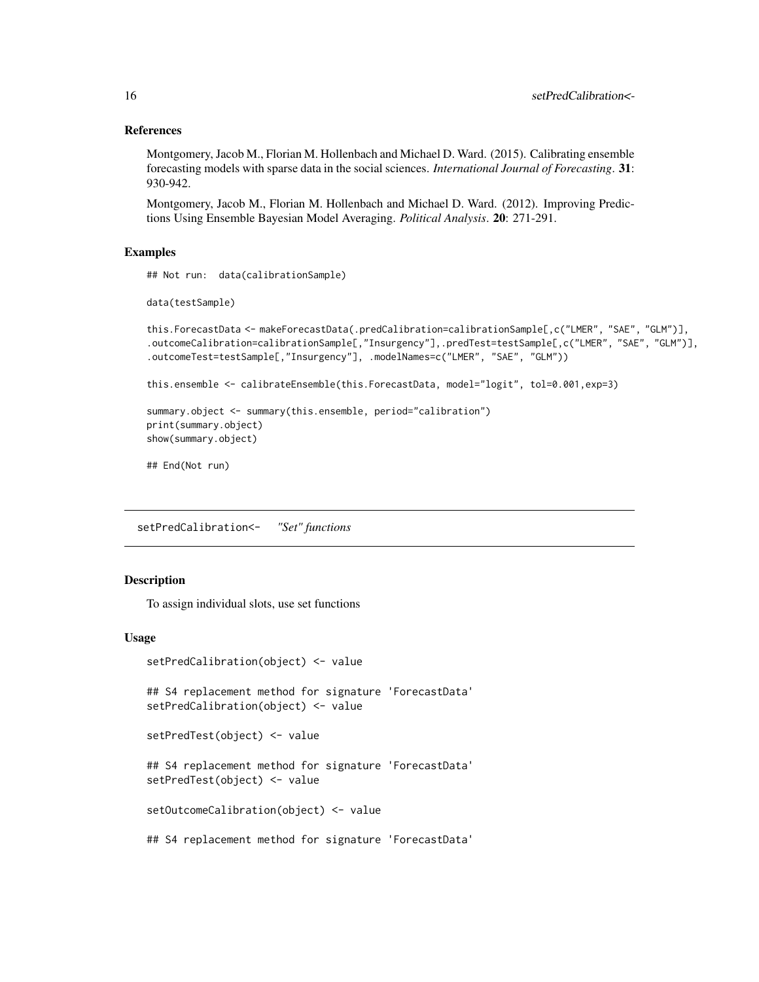## References

Montgomery, Jacob M., Florian M. Hollenbach and Michael D. Ward. (2015). Calibrating ensemble forecasting models with sparse data in the social sciences. *International Journal of Forecasting*. 31: 930-942.

Montgomery, Jacob M., Florian M. Hollenbach and Michael D. Ward. (2012). Improving Predictions Using Ensemble Bayesian Model Averaging. *Political Analysis*. 20: 271-291.

## Examples

```
## Not run: data(calibrationSample)
```

```
data(testSample)
```

```
this.ForecastData <- makeForecastData(.predCalibration=calibrationSample[,c("LMER", "SAE", "GLM")],
.outcomeCalibration=calibrationSample[,"Insurgency"],.predTest=testSample[,c("LMER", "SAE", "GLM")],
.outcomeTest=testSample[,"Insurgency"], .modelNames=c("LMER", "SAE", "GLM"))
```

```
this.ensemble <- calibrateEnsemble(this.ForecastData, model="logit", tol=0.001,exp=3)
```

```
summary.object <- summary(this.ensemble, period="calibration")
print(summary.object)
show(summary.object)
```

```
## End(Not run)
```
setPredCalibration<- *"Set" functions*

## Description

To assign individual slots, use set functions

## Usage

```
setPredCalibration(object) <- value
```
## S4 replacement method for signature 'ForecastData' setPredCalibration(object) <- value

setPredTest(object) <- value

## S4 replacement method for signature 'ForecastData' setPredTest(object) <- value

setOutcomeCalibration(object) <- value

## S4 replacement method for signature 'ForecastData'

<span id="page-15-0"></span>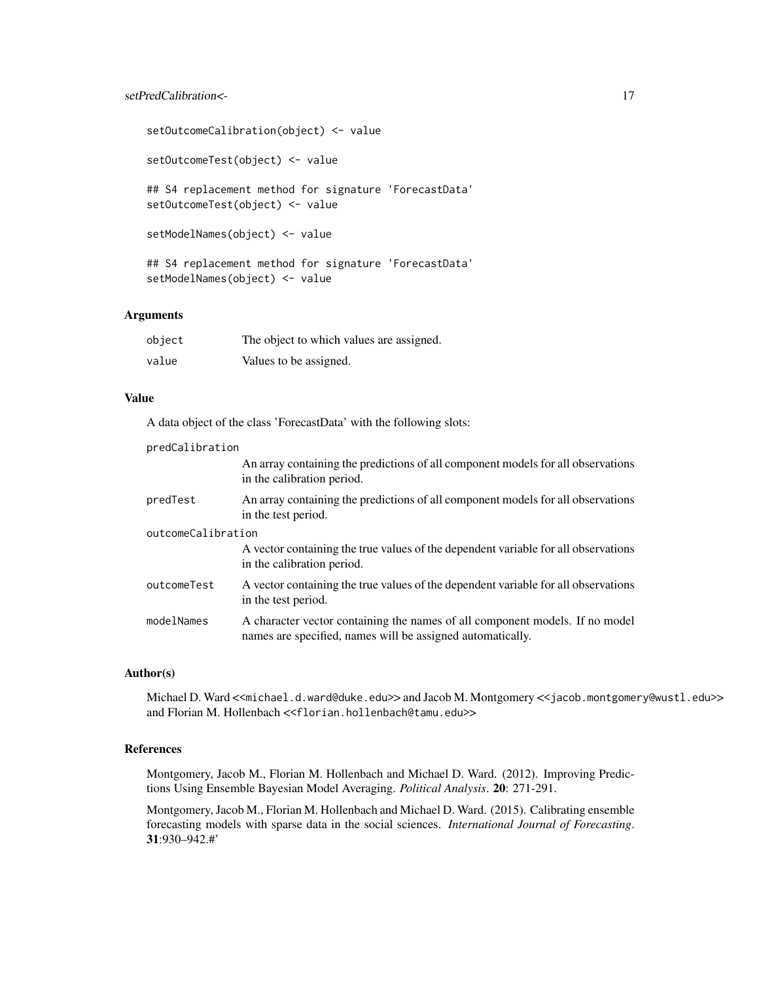## setPredCalibration <- 17

```
setOutcomeCalibration(object) <- value
setOutcomeTest(object) <- value
## S4 replacement method for signature 'ForecastData'
setOutcomeTest(object) <- value
setModelNames(object) <- value
## S4 replacement method for signature 'ForecastData'
setModelNames(object) <- value
```
## Arguments

| object | The object to which values are assigned. |
|--------|------------------------------------------|
| value  | Values to be assigned.                   |

#### Value

A data object of the class 'ForecastData' with the following slots:

| predCalibration    |                                                                                                                                            |  |
|--------------------|--------------------------------------------------------------------------------------------------------------------------------------------|--|
|                    | An array containing the predictions of all component models for all observations<br>in the calibration period.                             |  |
| predTest           | An array containing the predictions of all component models for all observations<br>in the test period.                                    |  |
| outcomeCalibration |                                                                                                                                            |  |
|                    | A vector containing the true values of the dependent variable for all observations<br>in the calibration period.                           |  |
| outcomeTest        | A vector containing the true values of the dependent variable for all observations<br>in the test period.                                  |  |
| modelNames         | A character vector containing the names of all component models. If no model<br>names are specified, names will be assigned automatically. |  |

#### Author(s)

Michael D. Ward <<michael.d.ward@duke.edu>> and Jacob M. Montgomery <<jacob.montgomery@wustl.edu>> and Florian M. Hollenbach <<florian.hollenbach@tamu.edu>>

## References

Montgomery, Jacob M., Florian M. Hollenbach and Michael D. Ward. (2012). Improving Predictions Using Ensemble Bayesian Model Averaging. *Political Analysis*. 20: 271-291.

Montgomery, Jacob M., Florian M. Hollenbach and Michael D. Ward. (2015). Calibrating ensemble forecasting models with sparse data in the social sciences. *International Journal of Forecasting*. 31:930–942.#'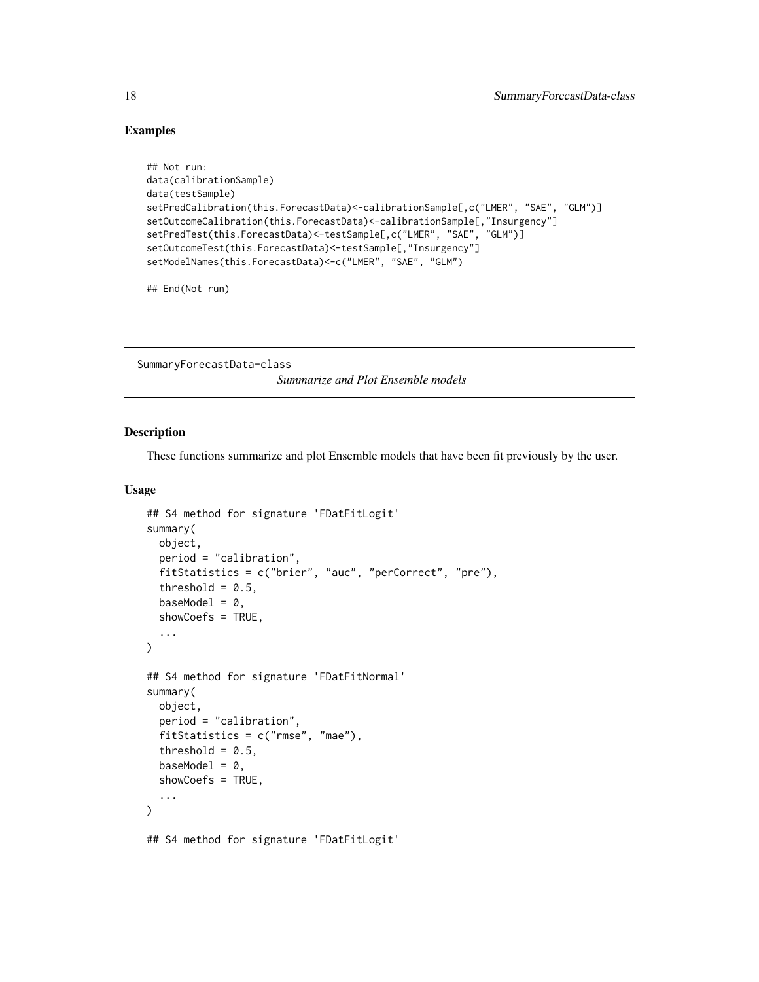### Examples

```
## Not run:
data(calibrationSample)
data(testSample)
setPredCalibration(this.ForecastData)<-calibrationSample[,c("LMER", "SAE", "GLM")]
setOutcomeCalibration(this.ForecastData)<-calibrationSample[,"Insurgency"]
setPredTest(this.ForecastData)<-testSample[,c("LMER", "SAE", "GLM")]
setOutcomeTest(this.ForecastData)<-testSample[,"Insurgency"]
setModelNames(this.ForecastData)<-c("LMER", "SAE", "GLM")
```
## End(Not run)

SummaryForecastData-class

*Summarize and Plot Ensemble models*

#### Description

These functions summarize and plot Ensemble models that have been fit previously by the user.

#### Usage

```
## S4 method for signature 'FDatFitLogit'
summary(
  object,
  period = "calibration",
  fitStatistics = c("brier", "auc", "perCorrect", "pre"),
  threshold = 0.5,
  baseModel = 0,
  showCoefs = TRUE,
  ...
)
## S4 method for signature 'FDatFitNormal'
summary(
  object,
  period = "calibration",
  fitStatistics = c("rmse", "mae"),
  threshold = 0.5,
  baseModel = 0,
  showCoefs = TRUE,
  ...
)
## S4 method for signature 'FDatFitLogit'
```
<span id="page-17-0"></span>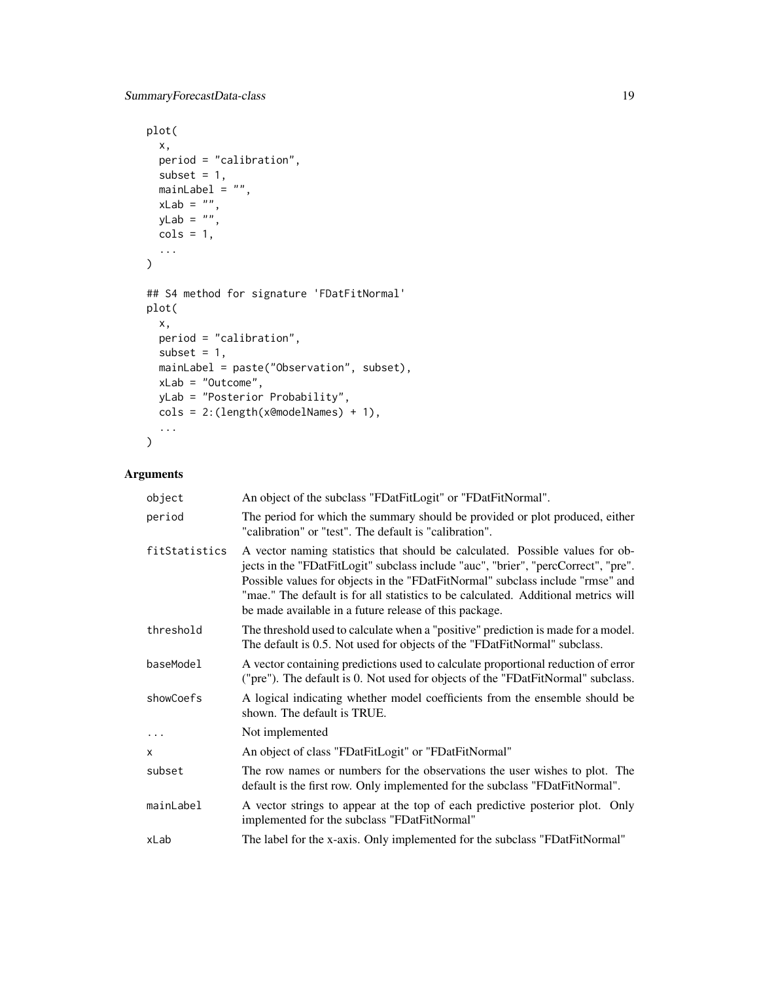```
plot(
 x,
 period = "calibration",
 subset = 1,
 mainLabel = ",
 xLab = "",yLab = " "\text{cols} = 1,
  ...
\mathcal{L}## S4 method for signature 'FDatFitNormal'
plot(
 x,
 period = "calibration",
 subset = 1,
 mainLabel = paste("Observation", subset),
 xLab = "Outcome",
 yLab = "Posterior Probability",
 cols = 2:(length(x@modelNames) + 1),
  ...
\mathcal{L}
```
## Arguments

| object        | An object of the subclass "FDatFitLogit" or "FDatFitNormal".                                                                                                                                                                                                                                                                                                                                          |
|---------------|-------------------------------------------------------------------------------------------------------------------------------------------------------------------------------------------------------------------------------------------------------------------------------------------------------------------------------------------------------------------------------------------------------|
| period        | The period for which the summary should be provided or plot produced, either<br>"calibration" or "test". The default is "calibration".                                                                                                                                                                                                                                                                |
| fitStatistics | A vector naming statistics that should be calculated. Possible values for ob-<br>jects in the "FDatFitLogit" subclass include "auc", "brier", "percCorrect", "pre".<br>Possible values for objects in the "FDatFitNormal" subclass include "rmse" and<br>"mae." The default is for all statistics to be calculated. Additional metrics will<br>be made available in a future release of this package. |
| threshold     | The threshold used to calculate when a "positive" prediction is made for a model.<br>The default is 0.5. Not used for objects of the "FDatFitNormal" subclass.                                                                                                                                                                                                                                        |
| baseModel     | A vector containing predictions used to calculate proportional reduction of error<br>("pre"). The default is 0. Not used for objects of the "FDatFitNormal" subclass.                                                                                                                                                                                                                                 |
| showCoefs     | A logical indicating whether model coefficients from the ensemble should be<br>shown. The default is TRUE.                                                                                                                                                                                                                                                                                            |
| .             | Not implemented                                                                                                                                                                                                                                                                                                                                                                                       |
| X             | An object of class "FDatFitLogit" or "FDatFitNormal"                                                                                                                                                                                                                                                                                                                                                  |
| subset        | The row names or numbers for the observations the user wishes to plot. The<br>default is the first row. Only implemented for the subclass "FDatFitNormal".                                                                                                                                                                                                                                            |
| mainLabel     | A vector strings to appear at the top of each predictive posterior plot. Only<br>implemented for the subclass "FDatFitNormal"                                                                                                                                                                                                                                                                         |
| xLab          | The label for the x-axis. Only implemented for the subclass "FDatFitNormal"                                                                                                                                                                                                                                                                                                                           |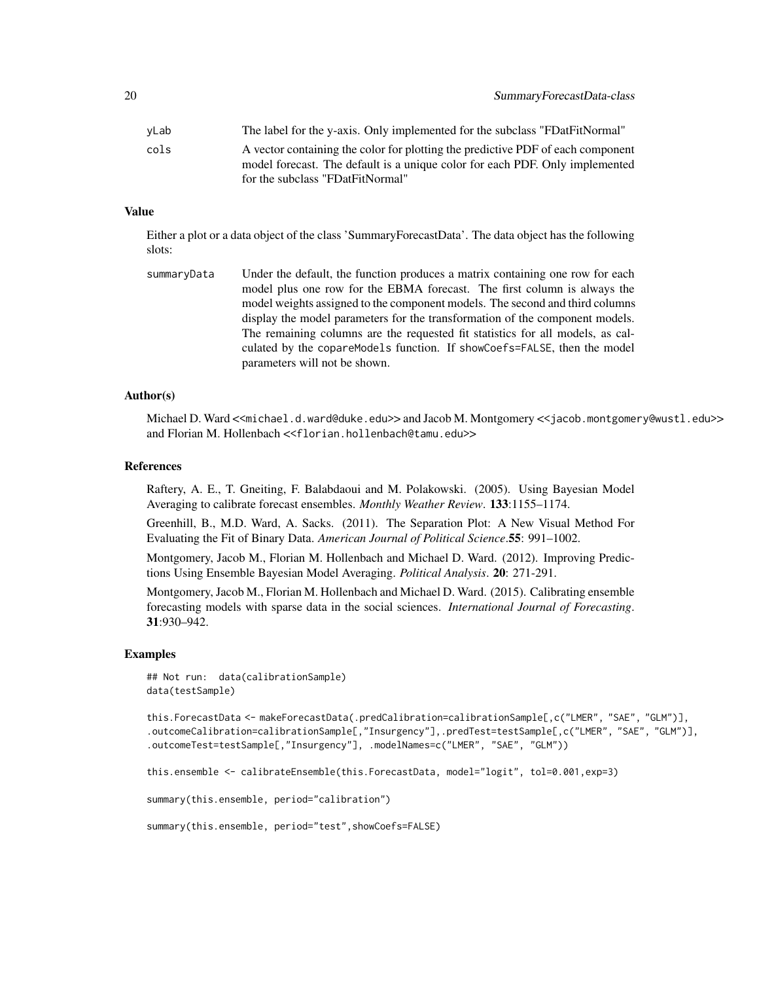| vLab | The label for the y-axis. Only implemented for the subclass "FDatFitNormal"     |
|------|---------------------------------------------------------------------------------|
| cols | A vector containing the color for plotting the predictive PDF of each component |
|      | model forecast. The default is a unique color for each PDF. Only implemented    |
|      | for the subclass "FDatFitNormal"                                                |

#### Value

Either a plot or a data object of the class 'SummaryForecastData'. The data object has the following slots:

```
summaryData Under the default, the function produces a matrix containing one row for each
                  model plus one row for the EBMA forecast. The first column is always the
                 model weights assigned to the component models. The second and third columns
                  display the model parameters for the transformation of the component models.
                  The remaining columns are the requested fit statistics for all models, as cal-
                  culated by the copareModels function. If showCoefs=FALSE, then the model
                  parameters will not be shown.
```
#### Author(s)

Michael D. Ward <<michael.d.ward@duke.edu>> and Jacob M. Montgomery <<jacob.montgomery@wustl.edu>> and Florian M. Hollenbach <<florian.hollenbach@tamu.edu>>

#### References

Raftery, A. E., T. Gneiting, F. Balabdaoui and M. Polakowski. (2005). Using Bayesian Model Averaging to calibrate forecast ensembles. *Monthly Weather Review*. 133:1155–1174.

Greenhill, B., M.D. Ward, A. Sacks. (2011). The Separation Plot: A New Visual Method For Evaluating the Fit of Binary Data. *American Journal of Political Science*.55: 991–1002.

Montgomery, Jacob M., Florian M. Hollenbach and Michael D. Ward. (2012). Improving Predictions Using Ensemble Bayesian Model Averaging. *Political Analysis*. 20: 271-291.

Montgomery, Jacob M., Florian M. Hollenbach and Michael D. Ward. (2015). Calibrating ensemble forecasting models with sparse data in the social sciences. *International Journal of Forecasting*. 31:930–942.

#### Examples

```
## Not run: data(calibrationSample)
data(testSample)
```

```
this.ForecastData <- makeForecastData(.predCalibration=calibrationSample[,c("LMER", "SAE", "GLM")],
.outcomeCalibration=calibrationSample[,"Insurgency"],.predTest=testSample[,c("LMER", "SAE", "GLM")],
.outcomeTest=testSample[,"Insurgency"], .modelNames=c("LMER", "SAE", "GLM"))
```

```
this.ensemble <- calibrateEnsemble(this.ForecastData, model="logit", tol=0.001,exp=3)
```
summary(this.ensemble, period="calibration")

```
summary(this.ensemble, period="test",showCoefs=FALSE)
```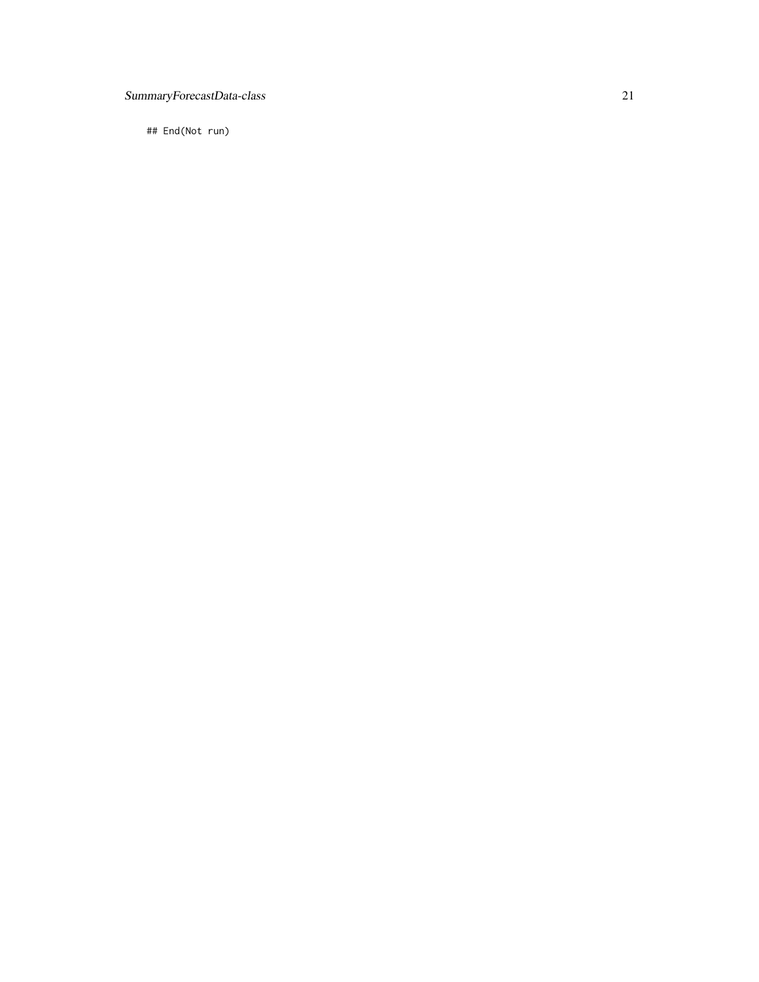## SummaryForecastData-class 21

## End(Not run)